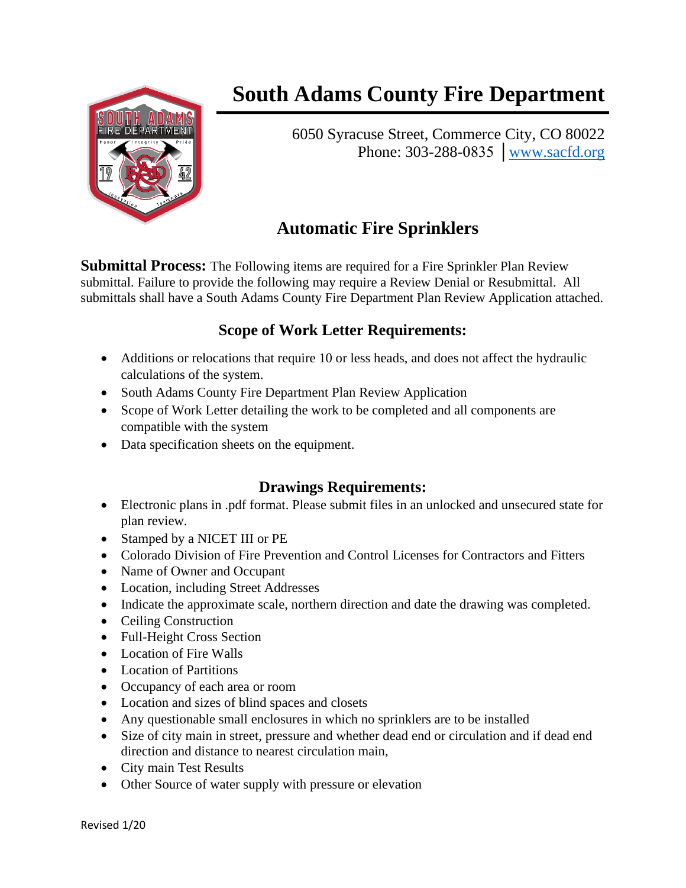

# **South Adams County Fire Department**

6050 Syracuse Street, Commerce City, CO 80022 Phone: 303-288-0835 [│www.sacfd.org](https://sacfd.org/)

# **Automatic Fire Sprinklers**

**Submittal Process:** The Following items are required for a Fire Sprinkler Plan Review submittal. Failure to provide the following may require a Review Denial or Resubmittal. All submittals shall have a South Adams County Fire Department Plan Review Application attached.

## **Scope of Work Letter Requirements:**

- Additions or relocations that require 10 or less heads, and does not affect the hydraulic calculations of the system.
- South Adams County Fire Department Plan Review Application
- Scope of Work Letter detailing the work to be completed and all components are compatible with the system
- Data specification sheets on the equipment.

## **Drawings Requirements:**

- Electronic plans in .pdf format. Please submit files in an unlocked and unsecured state for plan review.
- Stamped by a NICET III or PE
- Colorado Division of Fire Prevention and Control Licenses for Contractors and Fitters
- Name of Owner and Occupant
- Location, including Street Addresses
- Indicate the approximate scale, northern direction and date the drawing was completed.
- Ceiling Construction
- Full-Height Cross Section
- Location of Fire Walls
- Location of Partitions
- Occupancy of each area or room
- Location and sizes of blind spaces and closets
- Any questionable small enclosures in which no sprinklers are to be installed
- Size of city main in street, pressure and whether dead end or circulation and if dead end direction and distance to nearest circulation main,
- City main Test Results
- Other Source of water supply with pressure or elevation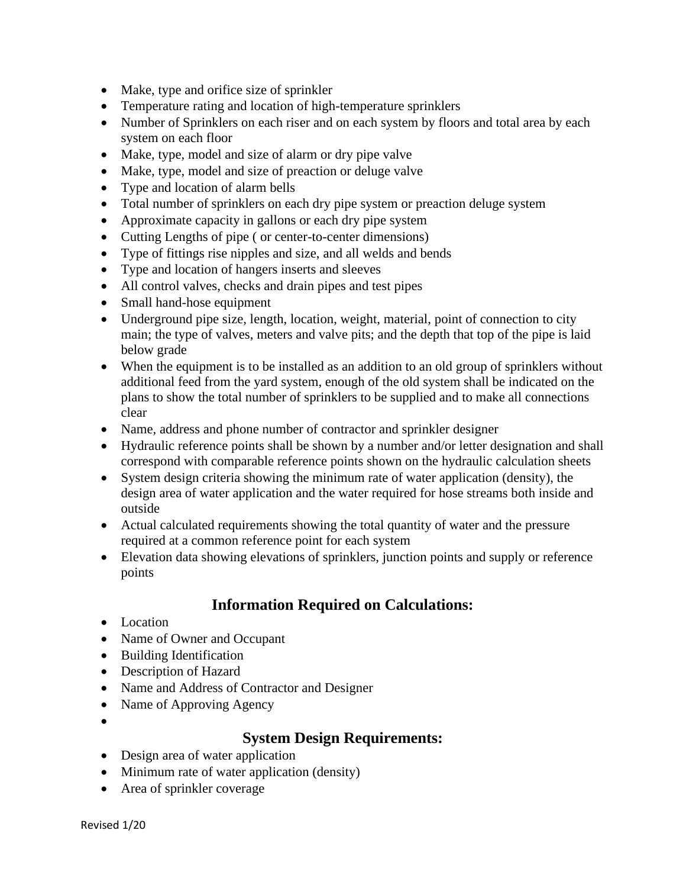- Make, type and orifice size of sprinkler
- Temperature rating and location of high-temperature sprinklers
- Number of Sprinklers on each riser and on each system by floors and total area by each system on each floor
- Make, type, model and size of alarm or dry pipe valve
- Make, type, model and size of preaction or deluge valve
- Type and location of alarm bells
- Total number of sprinklers on each dry pipe system or preaction deluge system
- Approximate capacity in gallons or each dry pipe system
- Cutting Lengths of pipe (or center-to-center dimensions)
- Type of fittings rise nipples and size, and all welds and bends
- Type and location of hangers inserts and sleeves
- All control valves, checks and drain pipes and test pipes
- Small hand-hose equipment
- Underground pipe size, length, location, weight, material, point of connection to city main; the type of valves, meters and valve pits; and the depth that top of the pipe is laid below grade
- When the equipment is to be installed as an addition to an old group of sprinklers without additional feed from the yard system, enough of the old system shall be indicated on the plans to show the total number of sprinklers to be supplied and to make all connections clear
- Name, address and phone number of contractor and sprinkler designer
- Hydraulic reference points shall be shown by a number and/or letter designation and shall correspond with comparable reference points shown on the hydraulic calculation sheets
- System design criteria showing the minimum rate of water application (density), the design area of water application and the water required for hose streams both inside and outside
- Actual calculated requirements showing the total quantity of water and the pressure required at a common reference point for each system
- Elevation data showing elevations of sprinklers, junction points and supply or reference points

#### **Information Required on Calculations:**

- Location
- Name of Owner and Occupant
- Building Identification
- Description of Hazard
- Name and Address of Contractor and Designer
- Name of Approving Agency
- •

#### **System Design Requirements:**

- Design area of water application
- Minimum rate of water application (density)
- Area of sprinkler coverage